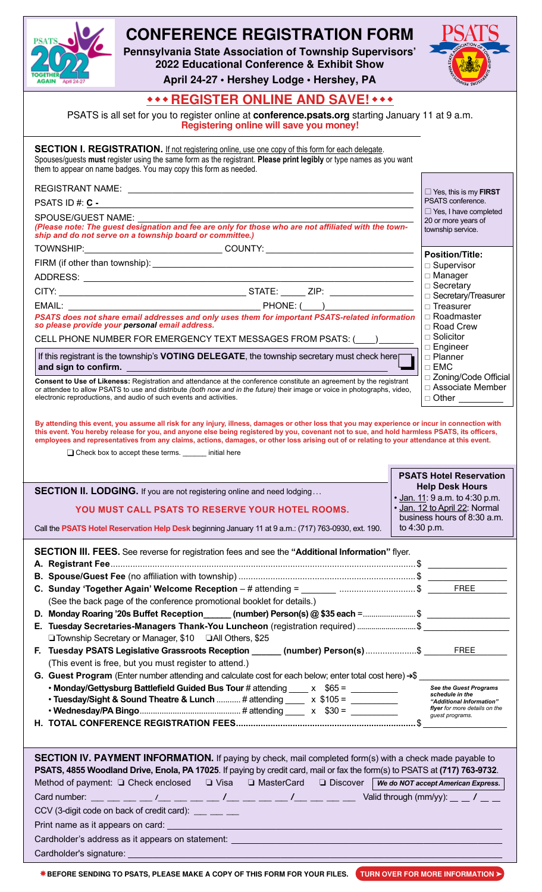

# **CONFERENCE REGISTRATION FORM**

**Pennsylvania State Association of Township Supervisors' 2022 Educational Conference & Exhibit Show**



|                                                                                                                                                                                                                                                                                                                        | 2022 Educational Conference & Exhibit Show                                                                                                                                                                                                                                                        |                                                                                                |
|------------------------------------------------------------------------------------------------------------------------------------------------------------------------------------------------------------------------------------------------------------------------------------------------------------------------|---------------------------------------------------------------------------------------------------------------------------------------------------------------------------------------------------------------------------------------------------------------------------------------------------|------------------------------------------------------------------------------------------------|
|                                                                                                                                                                                                                                                                                                                        | April 24-27 · Hershey Lodge · Hershey, PA                                                                                                                                                                                                                                                         |                                                                                                |
|                                                                                                                                                                                                                                                                                                                        | <b>*** REGISTER ONLINE AND SAVE! ***</b>                                                                                                                                                                                                                                                          |                                                                                                |
|                                                                                                                                                                                                                                                                                                                        | PSATS is all set for you to register online at <b>conference.psats.org</b> starting January 11 at 9 a.m.<br>Registering online will save you money!                                                                                                                                               |                                                                                                |
|                                                                                                                                                                                                                                                                                                                        | <b>SECTION I. REGISTRATION.</b> If not registering online, use one copy of this form for each delegate.<br>Spouses/guests must register using the same form as the registrant. Please print legibly or type names as you want<br>them to appear on name badges. You may copy this form as needed. |                                                                                                |
|                                                                                                                                                                                                                                                                                                                        |                                                                                                                                                                                                                                                                                                   | $\Box$ Yes, this is my <b>FIRST</b>                                                            |
| PSATS ID #: C -                                                                                                                                                                                                                                                                                                        | and the control of the control of the control of the control of the control of the control of the control of the                                                                                                                                                                                  | PSATS conference.                                                                              |
| SPOUSE/GUEST NAME:<br>SPOUSE/GUEST NAME:<br>(Please note: The guest designation and fee are only for those who are not affiliated with the town-<br>ship and do not serve on a township board or committee.)                                                                                                           | $\Box$ Yes, I have completed<br>20 or more years of<br>township service.                                                                                                                                                                                                                          |                                                                                                |
|                                                                                                                                                                                                                                                                                                                        | TOWNSHIP:__________________________________COUNTY: _____________________________                                                                                                                                                                                                                  | <b>Position/Title:</b>                                                                         |
|                                                                                                                                                                                                                                                                                                                        |                                                                                                                                                                                                                                                                                                   | $\Box$ Supervisor<br>$\Box$ Manager                                                            |
|                                                                                                                                                                                                                                                                                                                        |                                                                                                                                                                                                                                                                                                   | □ Secretary<br>□ Secretary/Treasurer                                                           |
|                                                                                                                                                                                                                                                                                                                        |                                                                                                                                                                                                                                                                                                   | □ Treasurer                                                                                    |
|                                                                                                                                                                                                                                                                                                                        | PSATS does not share email addresses and only uses them for important PSATS-related information<br>so please provide your personal email address.                                                                                                                                                 | □ Roadmaster<br>□ Road Crew                                                                    |
|                                                                                                                                                                                                                                                                                                                        | CELL PHONE NUMBER FOR EMERGENCY TEXT MESSAGES FROM PSATS: (___) ____                                                                                                                                                                                                                              | $\Box$ Solicitor                                                                               |
|                                                                                                                                                                                                                                                                                                                        | If this registrant is the township's <b>VOTING DELEGATE</b> , the township secretary must check here $\Box$<br>and sign to confirm. The continues of the control of the control of the continues of the continues of the continues                                                                | $\Box$ Engineer<br>□ Planner<br>$\square$ EMC                                                  |
| Consent to Use of Likeness: Registration and attendance at the conference constitute an agreement by the registrant<br>or attendee to allow PSATS to use and distribute (both now and in the future) their image or voice in photographs, video,<br>electronic reproductions, and audio of such events and activities. | □ Zoning/Code Official<br>□ Associate Member<br>$\Box$ Other $\qquad \qquad \qquad$                                                                                                                                                                                                               |                                                                                                |
|                                                                                                                                                                                                                                                                                                                        | □ Check box to accept these terms. ______ initial here                                                                                                                                                                                                                                            | <b>PSATS Hotel Reservation</b>                                                                 |
|                                                                                                                                                                                                                                                                                                                        | <b>SECTION II. LODGING.</b> If you are not registering online and need lodging                                                                                                                                                                                                                    | <b>Help Desk Hours</b>                                                                         |
| YOU MUST CALL PSATS TO RESERVE YOUR HOTEL ROOMS.                                                                                                                                                                                                                                                                       |                                                                                                                                                                                                                                                                                                   | • Jan. 11: 9 a.m. to 4:30 p.m.<br>• Jan. 12 to April 22: Normal<br>business hours of 8:30 a.m. |
|                                                                                                                                                                                                                                                                                                                        | Call the PSATS Hotel Reservation Help Desk beginning January 11 at 9 a.m.: (717) 763-0930, ext. 190.                                                                                                                                                                                              | to 4:30 p.m.                                                                                   |
|                                                                                                                                                                                                                                                                                                                        | <b>SECTION III. FEES.</b> See reverse for registration fees and see the "Additional Information" flyer.                                                                                                                                                                                           |                                                                                                |
|                                                                                                                                                                                                                                                                                                                        |                                                                                                                                                                                                                                                                                                   |                                                                                                |
|                                                                                                                                                                                                                                                                                                                        |                                                                                                                                                                                                                                                                                                   |                                                                                                |
|                                                                                                                                                                                                                                                                                                                        | C. Sunday 'Together Again' Welcome Reception - # attending = ______ \$ _____ FREE<br>(See the back page of the conference promotional booklet for details.)                                                                                                                                       |                                                                                                |
|                                                                                                                                                                                                                                                                                                                        |                                                                                                                                                                                                                                                                                                   |                                                                                                |
|                                                                                                                                                                                                                                                                                                                        |                                                                                                                                                                                                                                                                                                   |                                                                                                |
|                                                                                                                                                                                                                                                                                                                        | <b>□ Township Secretary or Manager, \$10 □ All Others, \$25</b><br>F. Tuesday PSATS Legislative Grassroots Reception ______ (number) Person(s) \$ ______ FREE                                                                                                                                     |                                                                                                |
|                                                                                                                                                                                                                                                                                                                        | (This event is free, but you must register to attend.)                                                                                                                                                                                                                                            |                                                                                                |
|                                                                                                                                                                                                                                                                                                                        | G. Guest Program (Enter number attending and calculate cost for each below; enter total cost here) $\rightarrow$ \$<br>• Monday/Gettysburg Battlefield Guided Bus Tour # attending ____ x \$65 = _______<br>• Tuesday/Sight & Sound Theatre & Lunch  # attending ____ x \$105 = _______           | See the Guest Programs<br>schedule in the<br>"Additional Information"                          |
|                                                                                                                                                                                                                                                                                                                        |                                                                                                                                                                                                                                                                                                   | flyer for more details on the<br>guest programs.                                               |
|                                                                                                                                                                                                                                                                                                                        |                                                                                                                                                                                                                                                                                                   |                                                                                                |
|                                                                                                                                                                                                                                                                                                                        | <b>SECTION IV. PAYMENT INFORMATION.</b> If paying by check, mail completed form(s) with a check made payable to<br>PSATS, 4855 Woodland Drive, Enola, PA 17025. If paying by credit card, mail or fax the form(s) to PSATS at (717) 763-9732.                                                     |                                                                                                |
|                                                                                                                                                                                                                                                                                                                        | Method of payment: Q Check enclosed Q Visa Q MasterCard Q Discover We do NOT accept American Express.                                                                                                                                                                                             |                                                                                                |
|                                                                                                                                                                                                                                                                                                                        |                                                                                                                                                                                                                                                                                                   |                                                                                                |
|                                                                                                                                                                                                                                                                                                                        | CCV (3-digit code on back of credit card): $\frac{1}{1}$ $\frac{1}{1}$ $\frac{1}{1}$                                                                                                                                                                                                              |                                                                                                |
|                                                                                                                                                                                                                                                                                                                        | Print name as it appears on card:                                                                                                                                                                                                                                                                 |                                                                                                |
|                                                                                                                                                                                                                                                                                                                        | Cardholder's address as it appears on statement:                                                                                                                                                                                                                                                  |                                                                                                |

 $\ast$  **BEFORE SENDING TO PSATS, PLEASE MAKE A COPY OF THIS FORM FOR YOUR FILES.**  $\overline{ }$  **turn over for more information >** 

Cardholder's signature: